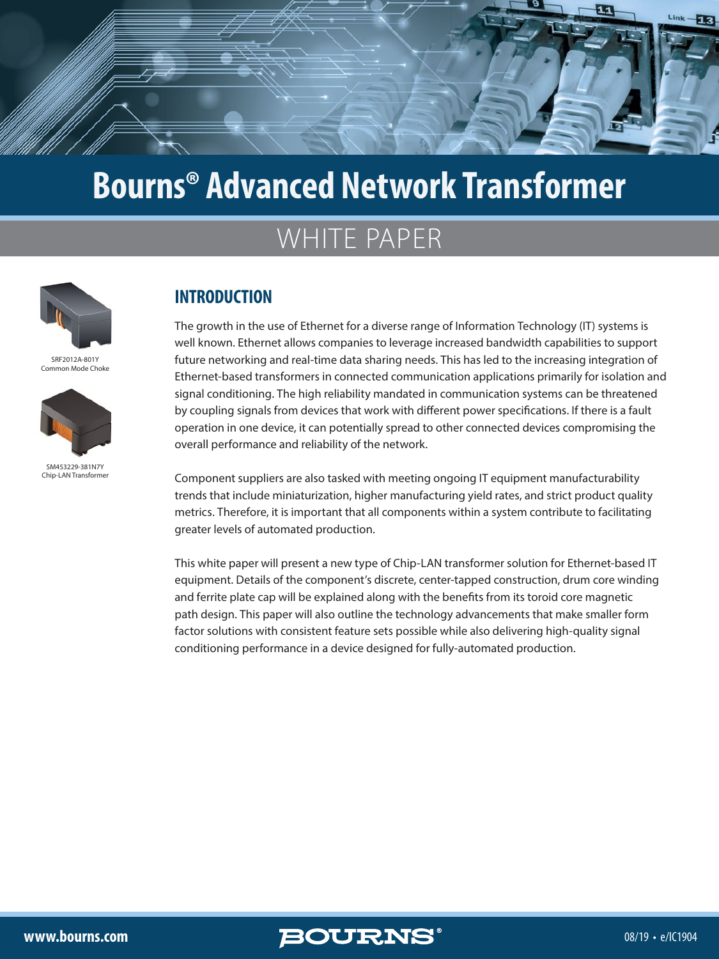

# WHITE PAPER



SRF2012A-801Y Common Mode Choke



SM453229-381N7Y Chin-LAN Transformer

## **INTRODUCTION**

The growth in the use of Ethernet for a diverse range of Information Technology (IT) systems is well known. Ethernet allows companies to leverage increased bandwidth capabilities to support future networking and real-time data sharing needs. This has led to the increasing integration of Ethernet-based transformers in connected communication applications primarily for isolation and signal conditioning. The high reliability mandated in communication systems can be threatened by coupling signals from devices that work with different power specifications. If there is a fault operation in one device, it can potentially spread to other connected devices compromising the overall performance and reliability of the network.

Component suppliers are also tasked with meeting ongoing IT equipment manufacturability trends that include miniaturization, higher manufacturing yield rates, and strict product quality metrics. Therefore, it is important that all components within a system contribute to facilitating greater levels of automated production.

This white paper will present a new type of Chip-LAN transformer solution for Ethernet-based IT equipment. Details of the component's discrete, center-tapped construction, drum core winding and ferrite plate cap will be explained along with the benefits from its toroid core magnetic path design. This paper will also outline the technology advancements that make smaller form factor solutions with consistent feature sets possible while also delivering high-quality signal conditioning performance in a device designed for fully-automated production.

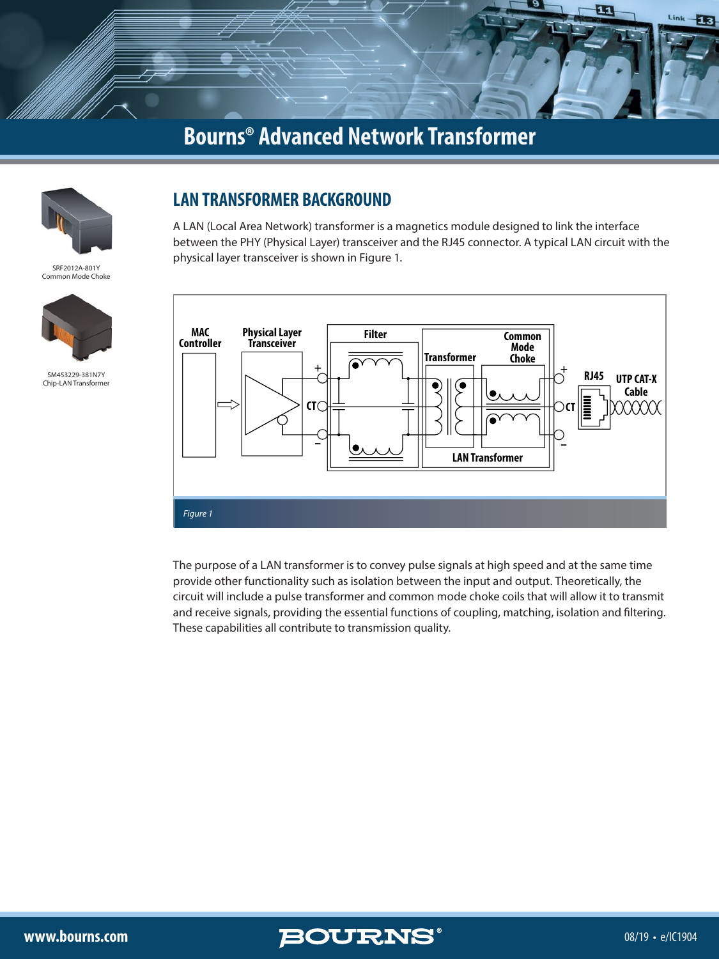



SRF2012A-801Y Common Mode Choke



SM453229-381N7Y Chip-LAN Transforme

## **LAN TRANSFORMER BACKGROUND**

A LAN (Local Area Network) transformer is a magnetics module designed to link the interface between the PHY (Physical Layer) transceiver and the RJ45 connector. A typical LAN circuit with the physical layer transceiver is shown in Figure 1.



The purpose of a LAN transformer is to convey pulse signals at high speed and at the same time provide other functionality such as isolation between the input and output. Theoretically, the circuit will include a pulse transformer and common mode choke coils that will allow it to transmit and receive signals, providing the essential functions of coupling, matching, isolation and filtering. These capabilities all contribute to transmission quality.

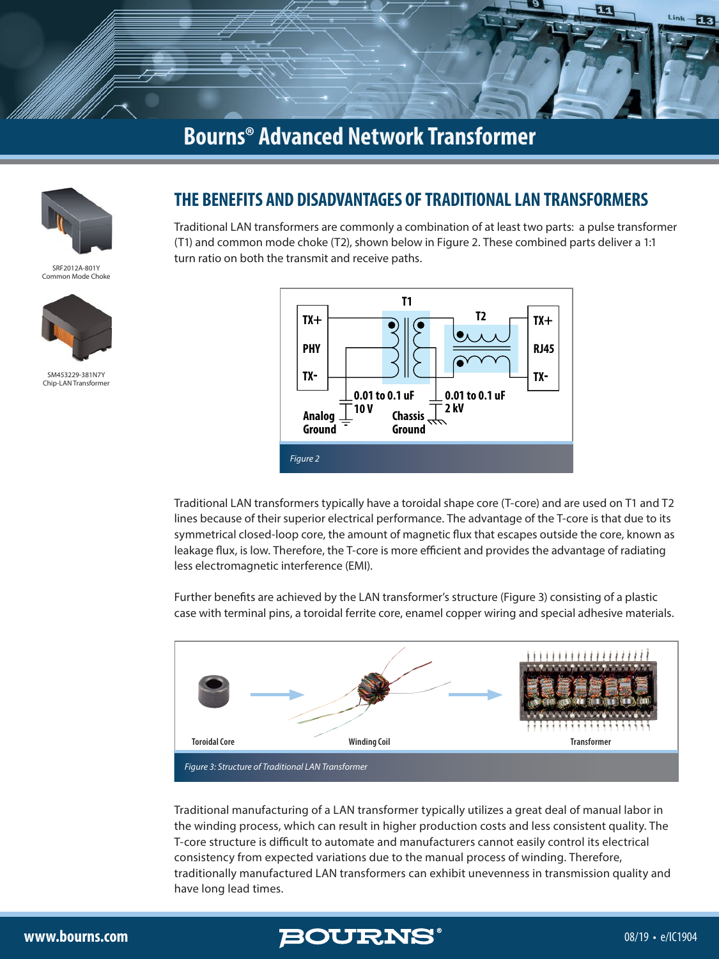



SRF2012A-801Y Common Mode Choke



SM453229-381N7Y Chip-LAN Transform

### **THE BENEFITS AND DISADVANTAGES OF TRADITIONAL LAN TRANSFORMERS**

Traditional LAN transformers are commonly a combination of at least two parts: a pulse transformer (T1) and common mode choke (T2), shown below in Figure 2. These combined parts deliver a 1:1 turn ratio on both the transmit and receive paths.



Traditional LAN transformers typically have a toroidal shape core (T-core) and are used on T1 and T2 lines because of their superior electrical performance. The advantage of the T-core is that due to its symmetrical closed-loop core, the amount of magnetic flux that escapes outside the core, known as leakage flux, is low. Therefore, the T-core is more efficient and provides the advantage of radiating less electromagnetic interference (EMI).

Further benefits are achieved by the LAN transformer's structure (Figure 3) consisting of a plastic case with terminal pins, a toroidal ferrite core, enamel copper wiring and special adhesive materials.



Traditional manufacturing of a LAN transformer typically utilizes a great deal of manual labor in the winding process, which can result in higher production costs and less consistent quality. The T-core structure is difficult to automate and manufacturers cannot easily control its electrical consistency from expected variations due to the manual process of winding. Therefore, traditionally manufactured LAN transformers can exhibit unevenness in transmission quality and have long lead times.

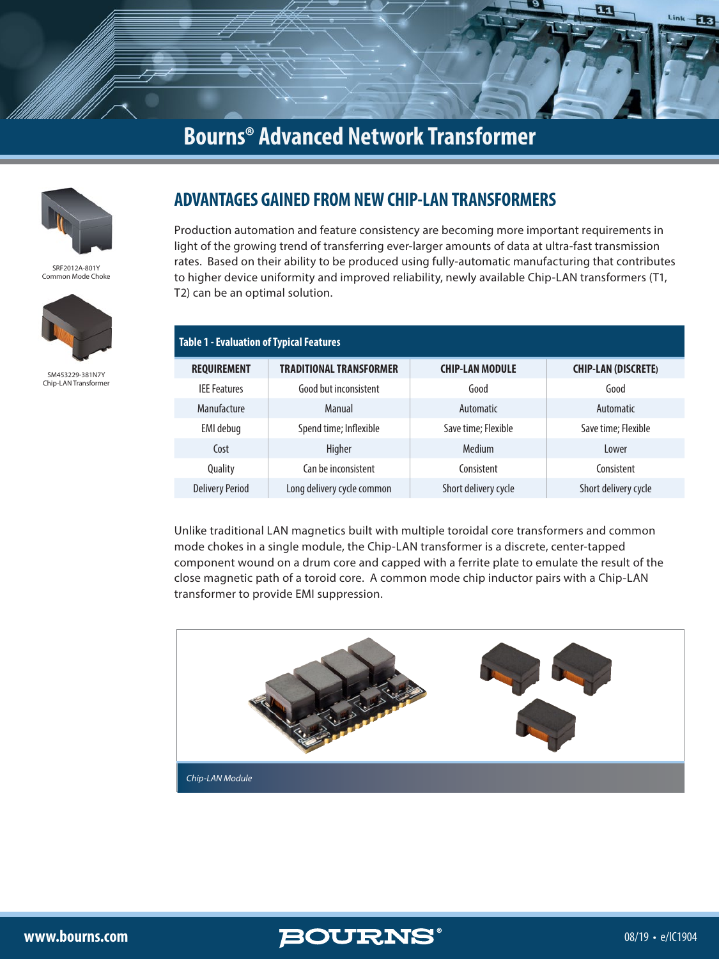



SRF2012A-801Y Common Mode Choke



SM453229-381N7Y Chip-LAN Transforme

## **ADVANTAGES GAINED FROM NEW CHIP-LAN TRANSFORMERS**

Production automation and feature consistency are becoming more important requirements in light of the growing trend of transferring ever-larger amounts of data at ultra-fast transmission rates. Based on their ability to be produced using fully-automatic manufacturing that contributes to higher device uniformity and improved reliability, newly available Chip-LAN transformers (T1, T2) can be an optimal solution.

| <b>Table 1 - Evaluation of Typical Features</b> |                                |                        |                            |
|-------------------------------------------------|--------------------------------|------------------------|----------------------------|
| <b>REQUIREMENT</b>                              | <b>TRADITIONAL TRANSFORMER</b> | <b>CHIP-LAN MODULE</b> | <b>CHIP-LAN (DISCRETE)</b> |
| <b>IFF</b> Features                             | Good but inconsistent          | Good                   | Good                       |
| Manufacture                                     | Manual                         | Automatic              | Automatic                  |
| EMI debug                                       | Spend time; Inflexible         | Save time; Flexible    | Save time; Flexible        |
| Cost                                            | Higher                         | Medium                 | Lower                      |
| Quality                                         | Can be inconsistent            | Consistent             | Consistent                 |
| <b>Delivery Period</b>                          | Long delivery cycle common     | Short delivery cycle   | Short delivery cycle       |

Unlike traditional LAN magnetics built with multiple toroidal core transformers and common mode chokes in a single module, the Chip-LAN transformer is a discrete, center-tapped component wound on a drum core and capped with a ferrite plate to emulate the result of the close magnetic path of a toroid core. A common mode chip inductor pairs with a Chip-LAN transformer to provide EMI suppression.



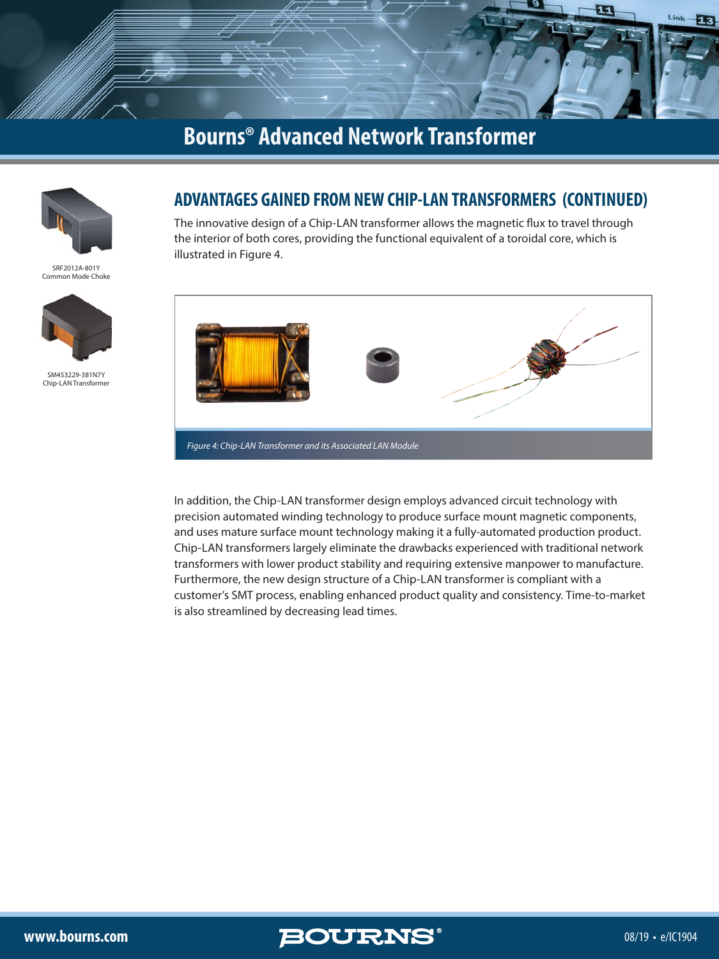



SRF2012A-801Y Common Mode Choke



SM453229-381N7Y Chip-LAN Transforme

### **ADVANTAGES GAINED FROM NEW CHIP-LAN TRANSFORMERS (CONTINUED)**

The innovative design of a Chip-LAN transformer allows the magnetic flux to travel through the interior of both cores, providing the functional equivalent of a toroidal core, which is illustrated in Figure 4.



In addition, the Chip-LAN transformer design employs advanced circuit technology with precision automated winding technology to produce surface mount magnetic components, and uses mature surface mount technology making it a fully-automated production product. Chip-LAN transformers largely eliminate the drawbacks experienced with traditional network transformers with lower product stability and requiring extensive manpower to manufacture. Furthermore, the new design structure of a Chip-LAN transformer is compliant with a customer's SMT process, enabling enhanced product quality and consistency. Time-to-market is also streamlined by decreasing lead times.

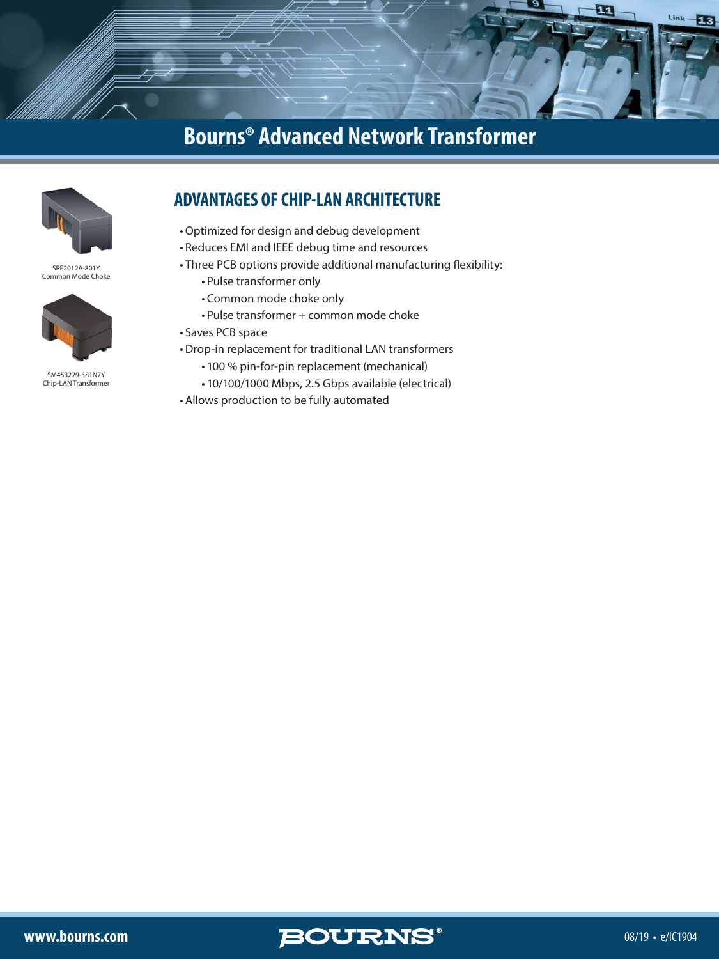

SRF2012A-801Y Common Mode Choke



SM453229-381N7Y Chip-LAN Transforme

## **ADVANTAGES OF CHIP-LAN ARCHITECTURE**

- •Optimized for design and debug development
- Reduces EMI and IEEE debug time and resources
- Three PCB options provide additional manufacturing flexibility:
	- Pulse transformer only
	- Common mode choke only
	- Pulse transformer + common mode choke
- Saves PCB space
- Drop-in replacement for traditional LAN transformers
	- 100 % pin-for-pin replacement (mechanical)
	- 10/100/1000 Mbps, 2.5 Gbps available (electrical)
- Allows production to be fully automated